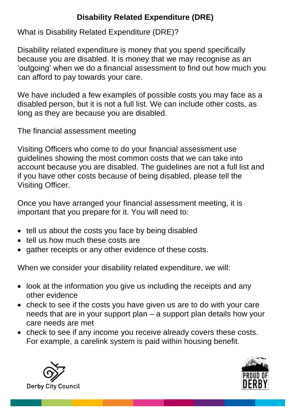## **Disability Related Expenditure (DRE)**

What is Disability Related Expenditure (DRE)?

Disability related expenditure is money that you spend specifically because you are disabled. It is money that we may recognise as an 'outgoing' when we do a financial assessment to find out how much you can afford to pay towards your care.

We have included a few examples of possible costs you may face as a disabled person, but it is not a full list. We can include other costs, as long as they are because you are disabled.

The financial assessment meeting

Visiting Officers who come to do your financial assessment use guidelines showing the most common costs that we can take into account because you are disabled. The guidelines are not a full list and if you have other costs because of being disabled, please tell the Visiting Officer.

Once you have arranged your financial assessment meeting, it is important that you prepare for it. You will need to:

- tell us about the costs you face by being disabled
- tell us how much these costs are
- gather receipts or any other evidence of these costs.

When we consider your disability related expenditure, we will:

- look at the information you give us including the receipts and any other evidence
- check to see if the costs you have given us are to do with your care needs that are in your support plan – a support plan details how your care needs are met
- check to see if any income you receive already covers these costs. For example, a carelink system is paid within housing benefit.



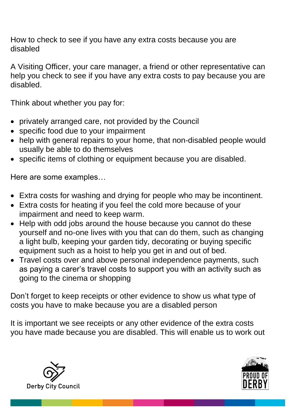How to check to see if you have any extra costs because you are disabled

A Visiting Officer, your care manager, a friend or other representative can help you check to see if you have any extra costs to pay because you are disabled.

Think about whether you pay for:

- privately arranged care, not provided by the Council
- specific food due to your impairment
- help with general repairs to your home, that non-disabled people would usually be able to do themselves
- specific items of clothing or equipment because you are disabled.

Here are some examples…

- Extra costs for washing and drying for people who may be incontinent.
- Extra costs for heating if you feel the cold more because of your impairment and need to keep warm.
- Help with odd jobs around the house because you cannot do these yourself and no-one lives with you that can do them, such as changing a light bulb, keeping your garden tidy, decorating or buying specific equipment such as a hoist to help you get in and out of bed.
- Travel costs over and above personal independence payments, such as paying a carer's travel costs to support you with an activity such as going to the cinema or shopping

Don't forget to keep receipts or other evidence to show us what type of costs you have to make because you are a disabled person

It is important we see receipts or any other evidence of the extra costs you have made because you are disabled. This will enable us to work out



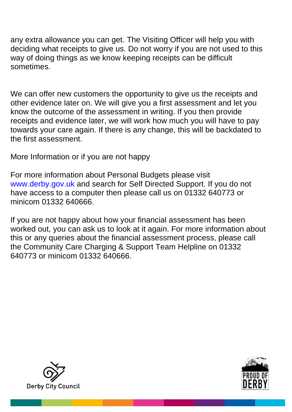any extra allowance you can get. The Visiting Officer will help you with deciding what receipts to give us. Do not worry if you are not used to this way of doing things as we know keeping receipts can be difficult sometimes.

We can offer new customers the opportunity to give us the receipts and other evidence later on. We will give you a first assessment and let you know the outcome of the assessment in writing. If you then provide receipts and evidence later, we will work how much you will have to pay towards your care again. If there is any change, this will be backdated to the first assessment.

More Information or if you are not happy

For more information about Personal Budgets please visit www.derby.gov.uk and search for Self Directed Support. If you do not have access to a computer then please call us on 01332 640773 or minicom 01332 640666.

If you are not happy about how your financial assessment has been worked out, you can ask us to look at it again. For more information about this or any queries about the financial assessment process, please call the Community Care Charging & Support Team Helpline on 01332 640773 or minicom 01332 640666.



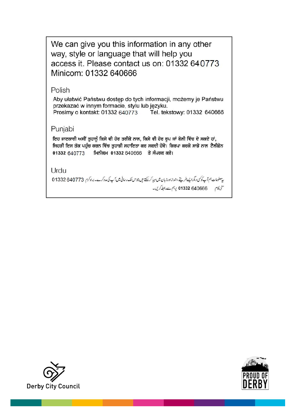We can give you this information in any other way, style or language that will help you access it. Please contact us on: 01332 640773 Minicom: 01332 640666

## Polish

Aby ułatwić Państwu dostęp do tych informacji, możemy je Państwu przekazać w innym formacie, stylu lub języku. Tel. tekstowy: 01332 640666 Prosimy o kontakt: 01332 640773

## Punjabi

ਇਹ ਜਾਣਕਾਰੀ ਅਸੀਂ ਤੁਹਾਨੂੰ ਕਿਸੇ ਵੀ ਹੋਰ ਤਰੀਕੇ ਨਾਲ, ਕਿਸੇ ਵੀ ਹੋਰ ਰੂਪ ਜਾਂ ਬੋਲੀ ਵਿੱਚ ਦੇ ਸਕਦੇ ਹਾਂ, ਜਿਹੜੀ ਇਸ ਤੱਕ ਪਹੁੰਚ ਕਰਨ ਵਿੱਚ ਤੁਹਾਡੀ ਸਹਾਇਤਾ ਕਰ ਸਕਦੀ ਹੋਵੇ। ਕਿਰਪਾ ਕਰਕੇ ਸਾਡੇ ਨਾਲ ਟੈਲੀਫ਼ੋਨ 01332 640773 ਮਿਨੀਕਮ 01332 640666 ਤੇ ਸੰਪਰਕ ਕਰੋ।

Urdu

پیعلومات ہم آپ کوکسی دیگرا پسے طریقے،اندازادرزبان میں مہیا کرسکتے ہیں جواس تک رسائی میں آپ کی مدد کرے۔براہ کرم 640773 01332

منى كام 640666 647 برہم سےرابط كريں۔



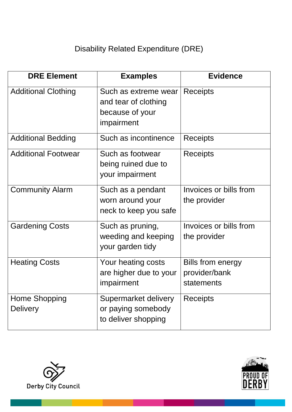## Disability Related Expenditure (DRE)

| <b>DRE Element</b>               | <b>Examples</b>                                                               | <b>Evidence</b>                                         |
|----------------------------------|-------------------------------------------------------------------------------|---------------------------------------------------------|
| <b>Additional Clothing</b>       | Such as extreme wear<br>and tear of clothing<br>because of your<br>impairment | <b>Receipts</b>                                         |
| <b>Additional Bedding</b>        | Such as incontinence                                                          | Receipts                                                |
| <b>Additional Footwear</b>       | Such as footwear<br>being ruined due to<br>your impairment                    | Receipts                                                |
| <b>Community Alarm</b>           | Such as a pendant<br>worn around your<br>neck to keep you safe                | Invoices or bills from<br>the provider                  |
| <b>Gardening Costs</b>           | Such as pruning,<br>weeding and keeping<br>your garden tidy                   | Invoices or bills from<br>the provider                  |
| <b>Heating Costs</b>             | Your heating costs<br>are higher due to your<br>impairment                    | <b>Bills from energy</b><br>provider/bank<br>statements |
| Home Shopping<br><b>Delivery</b> | Supermarket delivery<br>or paying somebody<br>to deliver shopping             | <b>Receipts</b>                                         |



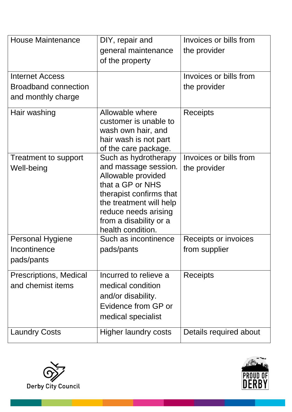| <b>House Maintenance</b>                                                    | DIY, repair and<br>general maintenance<br>of the property                                                                                                                                                           | Invoices or bills from<br>the provider |
|-----------------------------------------------------------------------------|---------------------------------------------------------------------------------------------------------------------------------------------------------------------------------------------------------------------|----------------------------------------|
| <b>Internet Access</b><br><b>Broadband connection</b><br>and monthly charge |                                                                                                                                                                                                                     | Invoices or bills from<br>the provider |
| Hair washing                                                                | Allowable where<br>customer is unable to<br>wash own hair, and<br>hair wash is not part<br>of the care package.                                                                                                     | Receipts                               |
| Treatment to support<br>Well-being                                          | Such as hydrotherapy<br>and massage session.<br>Allowable provided<br>that a GP or NHS<br>therapist confirms that<br>the treatment will help<br>reduce needs arising<br>from a disability or a<br>health condition. | Invoices or bills from<br>the provider |
| <b>Personal Hygiene</b><br>Incontinence<br>pads/pants                       | Such as incontinence<br>pads/pants                                                                                                                                                                                  | Receipts or invoices<br>from supplier  |
| <b>Prescriptions, Medical</b><br>and chemist items                          | Incurred to relieve a<br>medical condition<br>and/or disability.<br>Evidence from GP or<br>medical specialist                                                                                                       | <b>Receipts</b>                        |
| <b>Laundry Costs</b>                                                        | Higher laundry costs                                                                                                                                                                                                | Details required about                 |



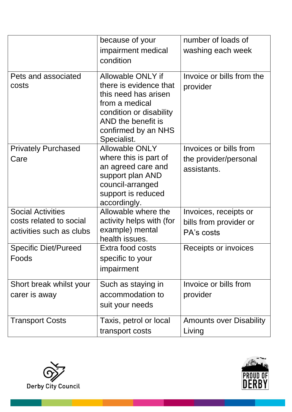|                                                                                 | because of your<br>impairment medical<br>condition                                                                                                                           | number of loads of<br>washing each week                        |
|---------------------------------------------------------------------------------|------------------------------------------------------------------------------------------------------------------------------------------------------------------------------|----------------------------------------------------------------|
| Pets and associated<br>costs                                                    | Allowable ONLY if<br>there is evidence that<br>this need has arisen<br>from a medical<br>condition or disability<br>AND the benefit is<br>confirmed by an NHS<br>Specialist. | Invoice or bills from the<br>provider                          |
| <b>Privately Purchased</b><br>Care                                              | <b>Allowable ONLY</b><br>where this is part of<br>an agreed care and<br>support plan AND<br>council-arranged<br>support is reduced<br>accordingly.                           | Invoices or bills from<br>the provider/personal<br>assistants. |
| <b>Social Activities</b><br>costs related to social<br>activities such as clubs | Allowable where the<br>activity helps with (for<br>example) mental<br>health issues.                                                                                         | Invoices, receipts or<br>bills from provider or<br>PA's costs  |
| <b>Specific Diet/Pureed</b><br>Foods                                            | Extra food costs<br>specific to your<br>impairment                                                                                                                           | Receipts or invoices                                           |
| Short break whilst your<br>carer is away                                        | Such as staying in<br>accommodation to<br>suit your needs                                                                                                                    | Invoice or bills from<br>provider                              |
| <b>Transport Costs</b>                                                          | Taxis, petrol or local<br>transport costs                                                                                                                                    | <b>Amounts over Disability</b><br>Living                       |